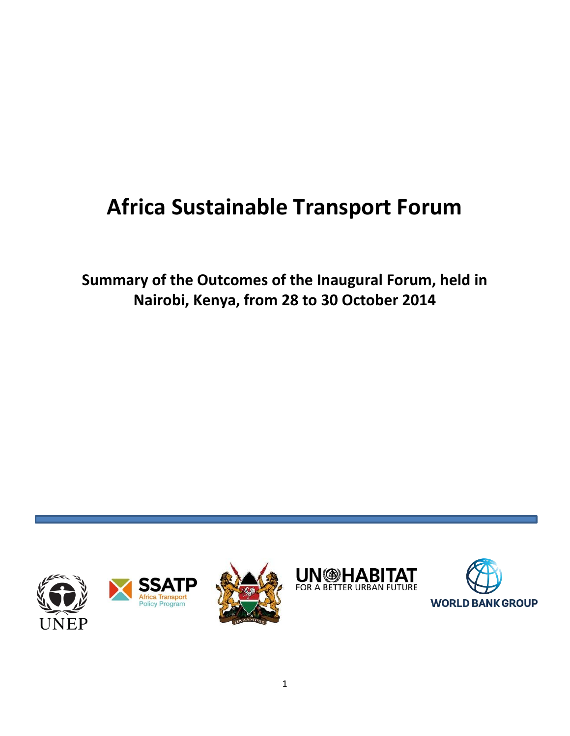# **Africa Sustainable Transport Forum**

**Summary of the Outcomes of the Inaugural Forum, held in Nairobi, Kenya, from 28 to 30 October 2014**



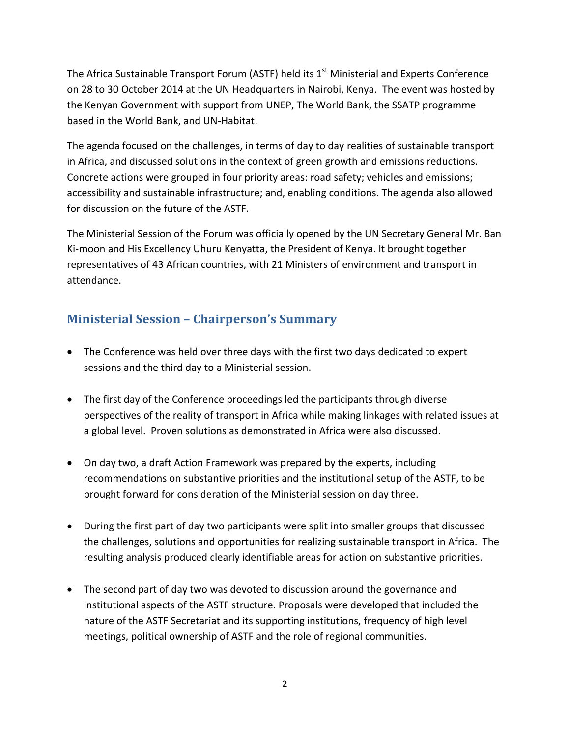The Africa Sustainable Transport Forum (ASTF) held its  $1<sup>st</sup>$  Ministerial and Experts Conference on 28 to 30 October 2014 at the UN Headquarters in Nairobi, Kenya. The event was hosted by the Kenyan Government with support from UNEP, The World Bank, the SSATP programme based in the World Bank, and UN-Habitat.

The agenda focused on the challenges, in terms of day to day realities of sustainable transport in Africa, and discussed solutions in the context of green growth and emissions reductions. Concrete actions were grouped in four priority areas: road safety; vehicles and emissions; accessibility and sustainable infrastructure; and, enabling conditions. The agenda also allowed for discussion on the future of the ASTF.

The Ministerial Session of the Forum was officially opened by the UN Secretary General Mr. Ban Ki-moon and His Excellency Uhuru Kenyatta, the President of Kenya. It brought together representatives of 43 African countries, with 21 Ministers of environment and transport in attendance.

#### **Ministerial Session – Chairperson's Summary**

- The Conference was held over three days with the first two days dedicated to expert sessions and the third day to a Ministerial session.
- The first day of the Conference proceedings led the participants through diverse perspectives of the reality of transport in Africa while making linkages with related issues at a global level. Proven solutions as demonstrated in Africa were also discussed.
- On day two, a draft Action Framework was prepared by the experts, including recommendations on substantive priorities and the institutional setup of the ASTF, to be brought forward for consideration of the Ministerial session on day three.
- During the first part of day two participants were split into smaller groups that discussed the challenges, solutions and opportunities for realizing sustainable transport in Africa. The resulting analysis produced clearly identifiable areas for action on substantive priorities.
- The second part of day two was devoted to discussion around the governance and institutional aspects of the ASTF structure. Proposals were developed that included the nature of the ASTF Secretariat and its supporting institutions, frequency of high level meetings, political ownership of ASTF and the role of regional communities.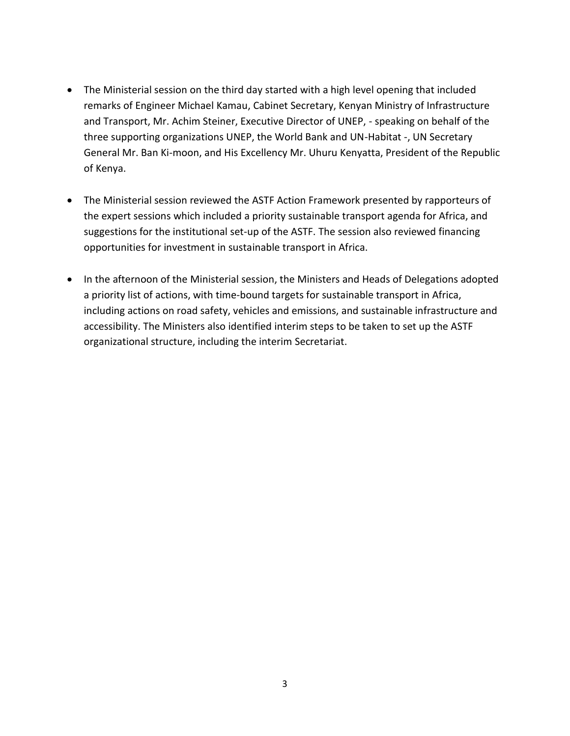- The Ministerial session on the third day started with a high level opening that included remarks of Engineer Michael Kamau, Cabinet Secretary, Kenyan Ministry of Infrastructure and Transport, Mr. Achim Steiner, Executive Director of UNEP, - speaking on behalf of the three supporting organizations UNEP, the World Bank and UN-Habitat -, UN Secretary General Mr. Ban Ki-moon, and His Excellency Mr. Uhuru Kenyatta, President of the Republic of Kenya.
- The Ministerial session reviewed the ASTF Action Framework presented by rapporteurs of the expert sessions which included a priority sustainable transport agenda for Africa, and suggestions for the institutional set-up of the ASTF. The session also reviewed financing opportunities for investment in sustainable transport in Africa.
- In the afternoon of the Ministerial session, the Ministers and Heads of Delegations adopted a priority list of actions, with time-bound targets for sustainable transport in Africa, including actions on road safety, vehicles and emissions, and sustainable infrastructure and accessibility. The Ministers also identified interim steps to be taken to set up the ASTF organizational structure, including the interim Secretariat.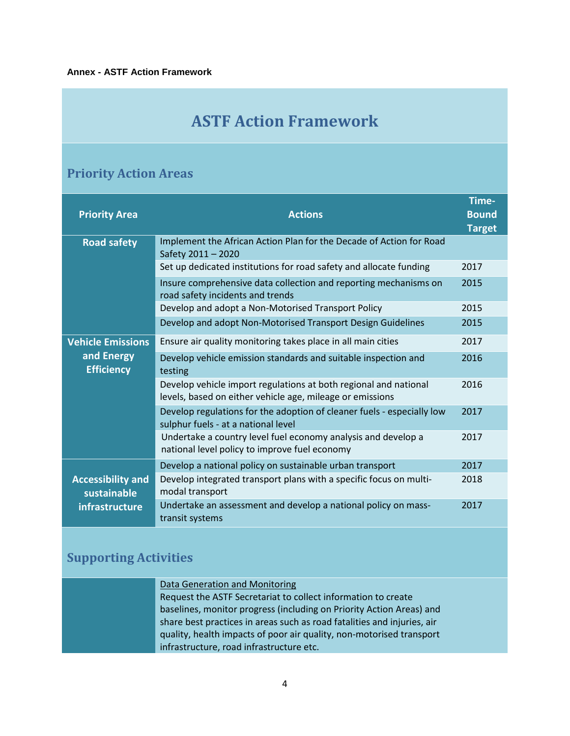### **ASTF Action Framework**

### **Priority Action Areas**

| <b>Priority Area</b>                    | <b>Actions</b>                                                                                                                | Time-<br><b>Bound</b><br><b>Target</b> |
|-----------------------------------------|-------------------------------------------------------------------------------------------------------------------------------|----------------------------------------|
| <b>Road safety</b>                      | Implement the African Action Plan for the Decade of Action for Road<br>Safety 2011 - 2020                                     |                                        |
|                                         | Set up dedicated institutions for road safety and allocate funding                                                            | 2017                                   |
|                                         | Insure comprehensive data collection and reporting mechanisms on<br>road safety incidents and trends                          | 2015                                   |
|                                         | Develop and adopt a Non-Motorised Transport Policy                                                                            | 2015                                   |
|                                         | Develop and adopt Non-Motorised Transport Design Guidelines                                                                   | 2015                                   |
| <b>Vehicle Emissions</b>                | Ensure air quality monitoring takes place in all main cities                                                                  | 2017                                   |
| and Energy<br><b>Efficiency</b>         | Develop vehicle emission standards and suitable inspection and<br>testing                                                     | 2016                                   |
|                                         | Develop vehicle import regulations at both regional and national<br>levels, based on either vehicle age, mileage or emissions | 2016                                   |
|                                         | Develop regulations for the adoption of cleaner fuels - especially low<br>sulphur fuels - at a national level                 | 2017                                   |
|                                         | Undertake a country level fuel economy analysis and develop a<br>national level policy to improve fuel economy                | 2017                                   |
|                                         | Develop a national policy on sustainable urban transport                                                                      | 2017                                   |
| <b>Accessibility and</b><br>sustainable | Develop integrated transport plans with a specific focus on multi-<br>modal transport                                         | 2018                                   |
| infrastructure                          | Undertake an assessment and develop a national policy on mass-<br>transit systems                                             | 2017                                   |

#### **Supporting Activities**

| Data Generation and Monitoring                                          |
|-------------------------------------------------------------------------|
| Request the ASTF Secretariat to collect information to create           |
| baselines, monitor progress (including on Priority Action Areas) and    |
| share best practices in areas such as road fatalities and injuries, air |
| quality, health impacts of poor air quality, non-motorised transport    |
| infrastructure, road infrastructure etc.                                |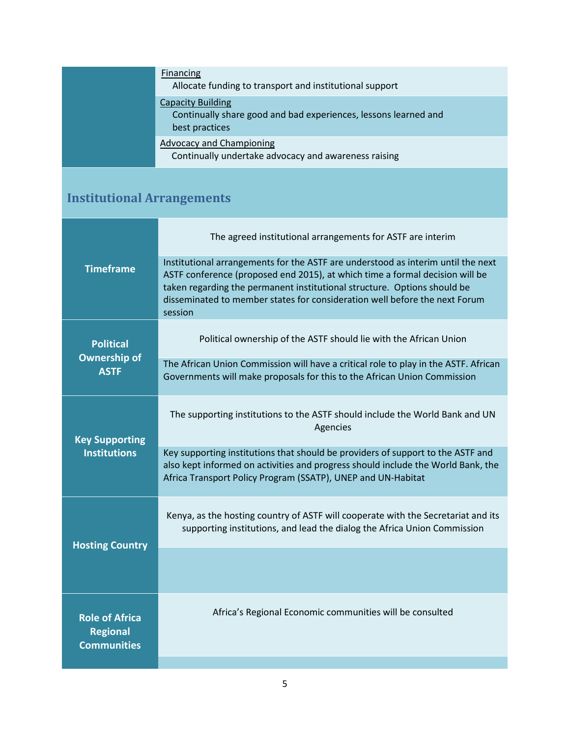| Financing<br>Allocate funding to transport and institutional support                                          |
|---------------------------------------------------------------------------------------------------------------|
| <b>Capacity Building</b><br>Continually share good and bad experiences, lessons learned and<br>best practices |
| Advocacy and Championing<br>Continually undertake advocacy and awareness raising                              |

## **Institutional Arrangements**

| <b>Timeframe</b>                                               | The agreed institutional arrangements for ASTF are interim                                                                                                                                                                                                                                                                            |
|----------------------------------------------------------------|---------------------------------------------------------------------------------------------------------------------------------------------------------------------------------------------------------------------------------------------------------------------------------------------------------------------------------------|
|                                                                | Institutional arrangements for the ASTF are understood as interim until the next<br>ASTF conference (proposed end 2015), at which time a formal decision will be<br>taken regarding the permanent institutional structure. Options should be<br>disseminated to member states for consideration well before the next Forum<br>session |
| <b>Political</b><br><b>Ownership of</b><br><b>ASTF</b>         | Political ownership of the ASTF should lie with the African Union                                                                                                                                                                                                                                                                     |
|                                                                | The African Union Commission will have a critical role to play in the ASTF. African<br>Governments will make proposals for this to the African Union Commission                                                                                                                                                                       |
| <b>Key Supporting</b><br><b>Institutions</b>                   | The supporting institutions to the ASTF should include the World Bank and UN<br>Agencies                                                                                                                                                                                                                                              |
|                                                                | Key supporting institutions that should be providers of support to the ASTF and<br>also kept informed on activities and progress should include the World Bank, the<br>Africa Transport Policy Program (SSATP), UNEP and UN-Habitat                                                                                                   |
| <b>Hosting Country</b>                                         | Kenya, as the hosting country of ASTF will cooperate with the Secretariat and its<br>supporting institutions, and lead the dialog the Africa Union Commission                                                                                                                                                                         |
|                                                                |                                                                                                                                                                                                                                                                                                                                       |
| <b>Role of Africa</b><br><b>Regional</b><br><b>Communities</b> | Africa's Regional Economic communities will be consulted                                                                                                                                                                                                                                                                              |
|                                                                |                                                                                                                                                                                                                                                                                                                                       |